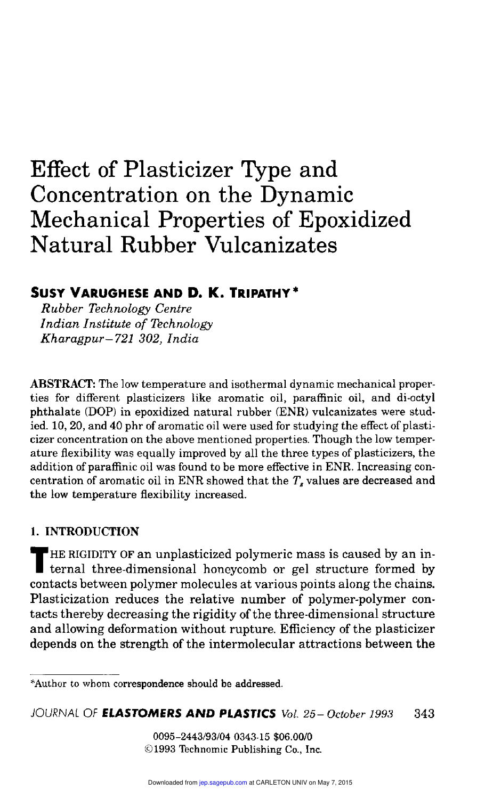# Effect of Plasticizer Type and Concentration on the Dynamic Mechanical Properties of Epoxidized Natural Rubber Vulcanizates

# SUSY VARUGHESE AND D. K. TRIPATHY\*

Rubber Technology Centre Indian Institute of Technology Kharagpur—721 302, India

ABSTRACT: The low temperature and isothermal dynamic mechanical properties for different plasticizers like aromatic oil, paraffinic oil, and di-octyl phthalate (DOP) in epoxidized natural rubber (ENR) vulcanizates were studied. 10, 20, and 40 phr of aromatic oil were used for studying the effect of plasticizer concentration on the above mentioned properties. Though the low temperature flexibility was equally improved by all the three types of plasticizers, the addition of paraffinic oil was found to be more effective in ENR. Increasing concentration of aromatic oil in ENR showed that the  $T<sub>s</sub>$  values are decreased and the low temperature flexibility increased.

# 1. INTRODUCTION

HE RIGIDITY OF an unplasticized polymeric mass is caused by an in-ternal three-dimensional honeycomb or gel structure formed by contacts between polymer molecules at various points along the chains. Plasticization reduces the relative number of polymer-polymer contacts thereby decreasing the rigidity of the three-dimensional structure and allowing deformation without rupture. Efficiency of the plasticizer depends on the strength of the intermolecular attractions between the

0095-2443/93/04 0343-15 \$06.00/0 ©1993 Technomic Publishing Co., Inc.

<sup>\*</sup>Author to whom correspondence should be addressed.

JOURNAL OF ELASTOMERS AND PLASTICS Vol. 25-October 1993 343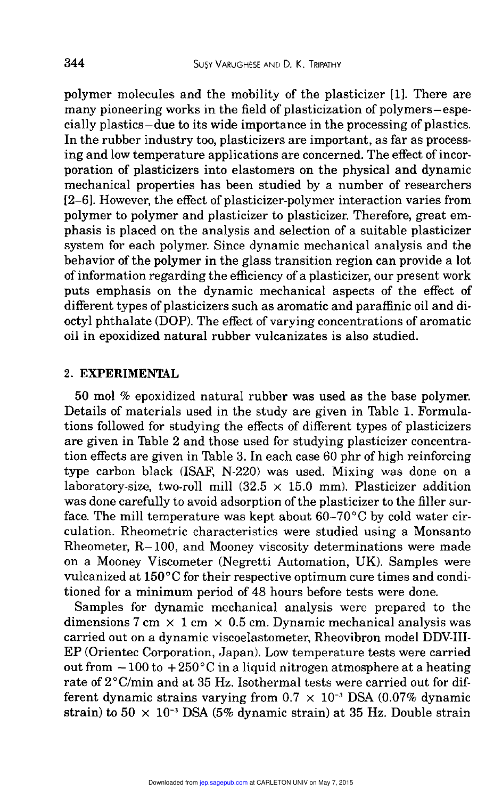polymer molecules and the mobility of the plasticizer [1]. There are many pioneering works in the field of plasticization of polymers-especially plastics-due to its wide importance in the processing of plastics. In the rubber industry too, plasticizers are important, as far as processing and low temperature applications are concerned. The effect of incorporation of plasticizers into elastomers on the physical and dynamic mechanical properties has been studied by a number of researchers [2-6]. However, the effect of plasticizer-polymer interaction varies from polymer to polymer and plasticizer to plasticizer. Therefore, great emphasis is placed on the analysis and selection of a suitable plasticizer system for each polymer. Since dynamic mechanical analysis and the behavior of the polymer in the glass transition region can provide a lot of information regarding the efficiency of a plasticizer, our present work puts emphasis on the dynamic mechanical aspects of the effect of different types of plasticizers such as aromatic and paraffinic oil and dioctyl phthalate (DOP). The effect of varying concentrations of aromatic oil in epoxidized natural rubber vulcanizates is also studied.

### 2. EXPERIMENTAL

<sup>50</sup>mol % epoxidized natural rubber was used as the base polymer. Details of materials used in the study are given in Table 1. Formulations followed for studying the effects of different types of plasticizers are given in Table 2 and those used for studying plasticizer concentration effects are given in Table 3. In each case  $60$  phr of high reinforcing type carbon black (ISAF, N-220) was used. Mixing was done on a laboratory-size, two-roll mill  $(32.5 \times 15.0 \text{ mm})$ . Plasticizer addition was done carefully to avoid adsorption of the plasticizer to the filler surface. The mill temperature was kept about  $60-70^{\circ}$ C by cold water circulation. Rheometric characteristics were studied using a Monsanto Rheometer, R-100, and Mooney viscosity determinations were made on a Mooney Viscometer (Negretti Automation, UK). Samples were vulcanized at 150°C for their respective optimum cure times and conditioned for a minimum period of 48 hours before tests were done.

Samples for dynamic mechanical analysis were prepared to the dimensions 7 cm  $\times$  1 cm  $\times$  0.5 cm. Dynamic mechanical analysis was carried out on a dynamic viscoelastometer, Rheovibron model DDV III-EP (Orientec Corporation, Japan). Low temperature tests were carried out from  $-100$  to  $+250$ °C in a liquid nitrogen atmosphere at a heating rate of  $2^{\circ}$ C/min and at 35 Hz. Isothermal tests were carried out for different dynamic strains varying from  $0.7 \times 10^{-3}$  DSA (0.07% dynamic strain) to  $50 \times 10^{-3}$  DSA (5% dynamic strain) at 35 Hz. Double strain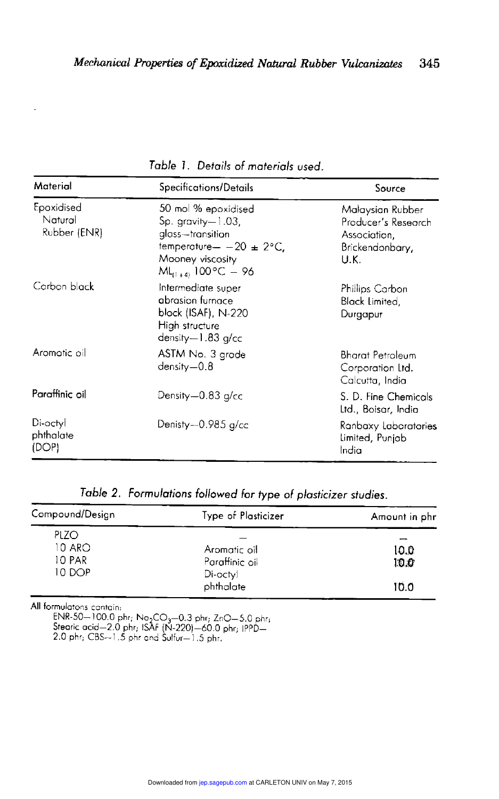| Material                              | Specifications/Details                                                                                                                            | Source                                                                             |  |
|---------------------------------------|---------------------------------------------------------------------------------------------------------------------------------------------------|------------------------------------------------------------------------------------|--|
| Epoxidised<br>Natural<br>Rubber (ENR) | 50 mol % epoxidised<br>$Sp.$ gravity $-1.03$ .<br>glass-transition<br>temperature- $-20 \pm 2$ °C,<br>Mooney viscosity<br>$ML_{(1+4)}$ 100°C – 96 | Malaysian Rubber<br>Producer's Research<br>Association,<br>Brickendonbary,<br>U.K. |  |
| Carbon black                          | Intermediate super<br>abrasion furnace<br>black (ISAF), N-220<br>High structure<br>density-1.83 g/cc                                              | Phillips Carbon<br>Black Limited,<br>Durgapur                                      |  |
| Aromotic oil                          | ASTM No. 3 grade<br>$density = 0.8$                                                                                                               | <b>Bharat Petroleum</b><br>Corporation Ltd.<br>Calcutta, India                     |  |
| Paraffinic oil                        | Density—0.83 g/cc                                                                                                                                 | S. D. Fine Chemicals<br>Ltd., Boisar, India                                        |  |
| Di-octyl<br>phthalate<br>(DOP)        | Denisty-0.985 g/cc                                                                                                                                | Ranbaxy Laboratories<br>Limited, Punjab<br>India                                   |  |

Table 1. Details of materials used.

| Compound/Design                           | Type of Plasticizer                                     | Amount in phr        |
|-------------------------------------------|---------------------------------------------------------|----------------------|
| <b>PLZO</b><br>10 ARO<br>10 PAR<br>10 DOP | Aromatic oil<br>Paraffinic oil<br>Di-octyl<br>phthalate | 10.0<br>10.0<br>10.0 |

All formuiatons contain:

ENR-50—100.0 phr; Na<sub>2</sub>CO<sub>3</sub>—0.3 phr; ZnO—5.0 phr;<br>Stearic acid—2.0 phr; ISAF (N-220)—60.0 phr; IPPD—<br>2.0 phr; CBS—1.5 phr and Sulfur—1.5 phr.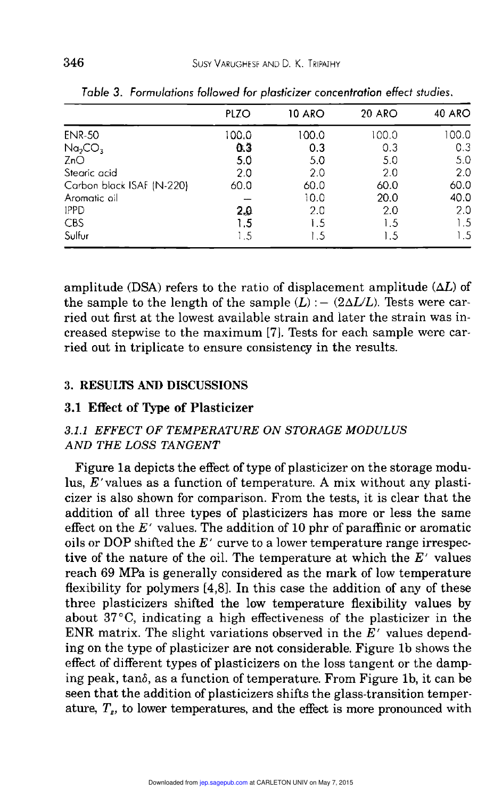|                                 | PLZO  | 10 ARO | 20 ARO | <b>40 ARO</b> |
|---------------------------------|-------|--------|--------|---------------|
| <b>ENR-50</b>                   | 100.0 | 100.0  | 100.0  | 100.0         |
| Na <sub>2</sub> CO <sub>3</sub> | 0.3   | 0.3    | 0.3    | 0.3           |
| ZnO                             | 5.0   | 5.0    | 5.0    | 5.0           |
| Stearic acid                    | 2.0   | 2.0    | 2.0    | 2.0           |
| Carbon black ISAF (N-220)       | 60.0  | 60.0   | 60.0   | 60.0          |
| Aromatic oil                    |       | 10.0   | 20.0   | 40.0          |
| <b>IPPD</b>                     |       | 2.0    | 2.0    | 2.0           |
| CBS                             | 1.5   | 1.5    | 1.5    | 1.5           |
| Sulfur                          | 1.5   | 1.5    | 1.5    | 1.5           |
|                                 | 2.0   |        |        |               |

Table 3. Formulations followed for plasticizer concentration effect studies.

amplitude (DSA) refers to the ratio of displacement amplitude  $(\Delta L)$  of the sample to the length of the sample  $(L)$  :  $-$  (2 $\Delta L/L$ ). Tests were carried out first at the lowest available strain and later the strain was increased stepwise to the maximum [7]. Tests for each sample were carried out in triplicate to ensure consistency in the results.

#### 3. RESULTS AND DISCUSSIONS

#### 3.1 Effect of Type of Plasticizer

# 3.1.1 EFFECT OF TEMPERATURE ON STORAGE MODULUS AND THE LOSS TANGENT

Figure la depicts the effect of type of plasticizer on the storage modulus, E'values as a function of temperature. A mix without any plasticizer is also shown for comparison. From the tests, it is clear that the addition of all three types of plasticizers has more or less the same effect on the  $E'$  values. The addition of 10 phr of paraffinic or aromatic oils or DOP shifted the  $E'$  curve to a lower temperature range irrespective of the nature of the oil. The temperature at which the  $E'$  values reach 69 MPa is generally considered as the mark of low temperature flexibility for polymers [4,8]. In this case the addition of any of these three plasticizers shifted the low temperature flexibility values by about 37 °C, indicating a high effectiveness of the plasticizer in the ENR matrix. The slight variations observed in the  $E'$  values depending on the type of plasticizer are not considerable. Figure lb shows the effect of different types of plasticizers on the loss tangent or the damping peak, tan6, as a function of temperature. From Figure Ib, it can be seen that the addition of plasticizers shifts the glass-transition temperature,  $T_{s}$ , to lower temperatures, and the effect is more pronounced with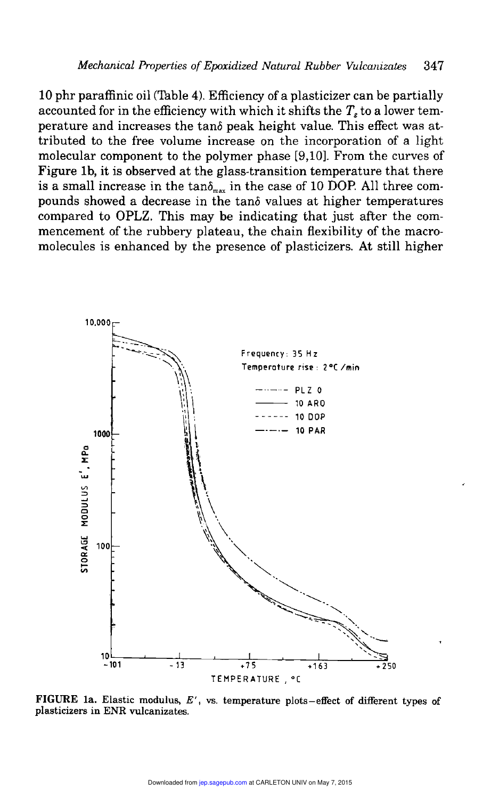10 phr paraffinic oil (Table 4). Efficiency of a plasticizer can be partially accounted for in the efficiency with which it shifts the  $T<sub>e</sub>$  to a lower temperature and increases the tan6 peak height value. This effect was attributed to the free volume increase on the incorporation of a light molecular component to the polymer phase [9,10]. From the curves of Figure lb, it is observed at the glass-transition temperature that there is a small increase in the tan $\delta_{\text{max}}$  in the case of 10 DOP. All three compounds showed a decrease in the tan6 values at higher temperatures compared to OPLZ. This may be indicating that just after the commencement of the rubbery plateau, the chain flexibility of the macromolecules is enhanced by the presence of plasticizers. At still higher



FIGURE 1a. Elastic modulus,  $E'$ , vs. temperature plots-effect of different types of plasticizers in ENR vulcanizates.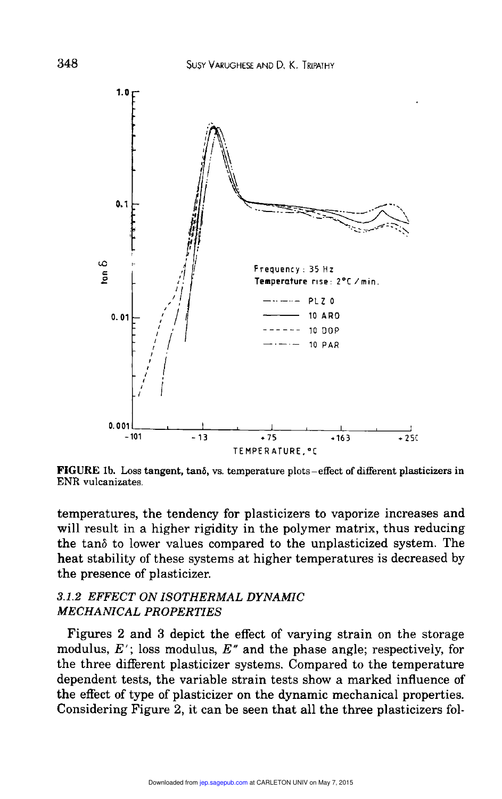

FIGURE lb. Loss tangent, tan6, vs. temperature plots-effect of different plasticizers in ENR vulcanizates.

temperatures, the tendency for plasticizers to vaporize increases and will result in a higher rigidity in the polymer matrix, thus reducing the tan6 to lower values compared to the unplasticized system. The heat stability of these systems at higher temperatures is decreased by the presence of plasticizer.

## 3.1.2 EFFECT ON ISOTHERMAL DYNAMIC MECHANICAL PROPERTIES

Figures 2 and 3 depict the effect of varying strain on the storage modulus,  $E'$ ; loss modulus,  $E''$  and the phase angle; respectively, for the three different plasticizer systems. Compared to the temperature dependent tests, the variable strain tests show a marked influence of the effect of type of plasticizer on the dynamic mechanical properties. Considering Figure 2, it can be seen that all the three plasticizers fol-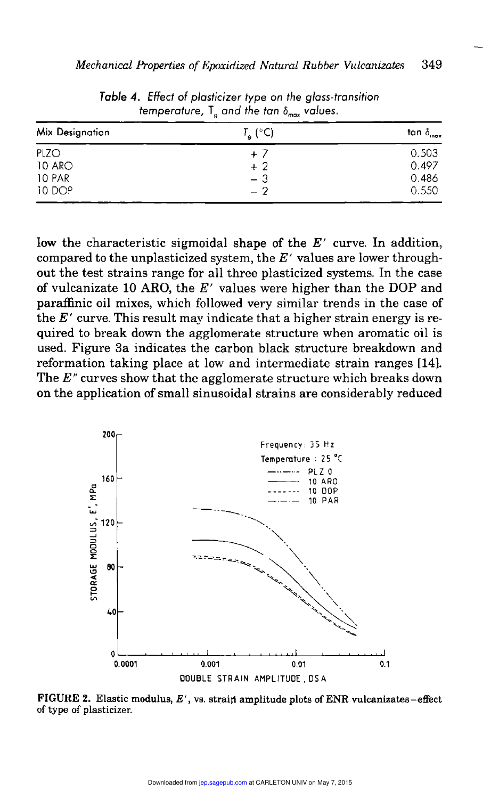| Mix Designation | $T_{\mathbf{g}}$ (°C) | tan $\delta_{\max}$ |
|-----------------|-----------------------|---------------------|
| PLZO            | $+7$                  | 0.503               |
| 10 ARO          | $+2$                  | 0.497               |
| 10 PAR          | - 3                   | 0.486               |
| 10 DOP          | $-2$                  | 0.550               |

Table 4. Effect of plasticizer type on the glass-transition temperature,  $T_{0}$  and the tan  $\delta_{max}$  values.

low the characteristic sigmoidal shape of the  $E'$  curve. In addition, compared to the unplasticized system, the  $E'$  values are lower throughout the test strains range for all three plasticized systems. In the case of vulcanizate 10 ARO, the  $E'$  values were higher than the DOP and paraffinic oil mixes, which followed very similar trends in the case of the  $E'$  curve. This result may indicate that a higher strain energy is required to break down the agglomerate structure when aromatic oil is used. Figure 3a indicates the carbon black structure breakdown and reformation taking place at low and intermediate strain ranges [14]. The  $E^{\prime\prime}$  curves show that the agglomerate structure which breaks down on the application of small sinusoidal strains are considerably reduced



FIGURE 2. Elastic modulus,  $E'$ , vs. strain amplitude plots of ENR vulcanizates-effect of type of plasticizer.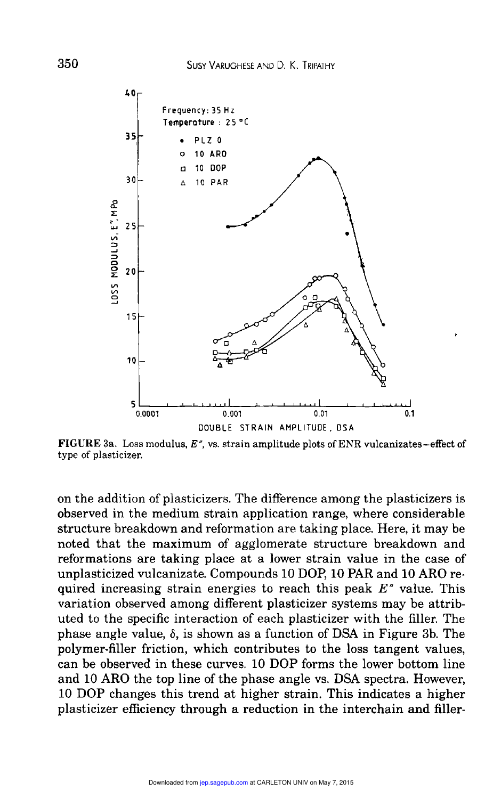

FIGURE 3a. Loss modulus,  $E''$ , vs. strain amplitude plots of ENR vulcanizates-effect of type of plasticizer.

on the addition of plasticizers. The difference among the plasticizers is observed in the medium strain application range, where considerable structure breakdown and reformation are taking place. Here, it may be noted that the maximum of agglomerate structure breakdown and reformations are taking place at a lower strain value in the case of unplasticized vulcanizate. Compounds 10 DOP, 10 PAR and 10 ARO required increasing strain energies to reach this peak  $E^{\prime\prime}$  value. This variation observed among different plasticizer systems may be attributed to the specific interaction of each plasticizer with the filler. The phase angle value,  $\delta$ , is shown as a function of DSA in Figure 3b. The polymer-filler friction, which contributes to the loss tangent values, can be observed in these curves. <sup>10</sup>DOP forms the lower bottom line and 10 ARO the top line of the phase angle vs. DSA spectra. However, <sup>10</sup>DOP changes this trend at higher strain. This indicates a higher plasticizer efficiency through a reduction in the interchain and filler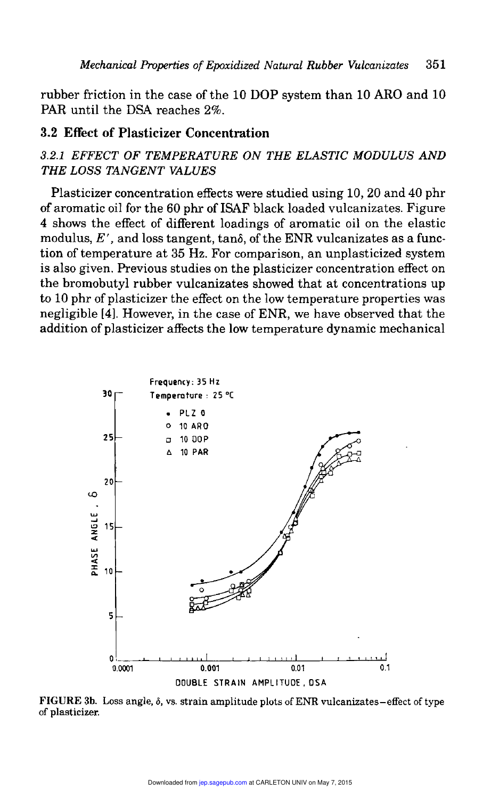rubber friction in the case of the 10 DOP system than 10 ARO and 10 PAR until the DSA reaches 2%.

## 3.2 Effect of Plasticizer Concentration

# 3.2.1 EFFECT OF TEMPERATURE ON THE ELASTIC MODULUS AND THE LOSS TANGENT VALUES

Plasticizer concentration effects were studied using 10, 20 and 40 phr of aromatic oil for the 60 phr of ISAF black loaded vulcanizates. Figure 4 shows the effect of different loadings of aromatic oil on the elastic modulus,  $E'$ , and loss tangent, tanô, of the ENR vulcanizates as a function of temperature at 35 Hz. For comparison, an unplasticized system is also given. Previous studies on the plasticizer concentration effect on the bromobutyl rubber vulcanizates showed that at concentrations up to 10 phr of plasticizer the effect on the low temperature properties was negligible [4]. However, in the case of ENR, we have observed that the addition of plasticizer affects the low temperature dynamic mechanical



FIGURE 3b. Loss angle, 6, vs. strain amplitude plots of ENR vulcanizates-effect of type of plasticizer.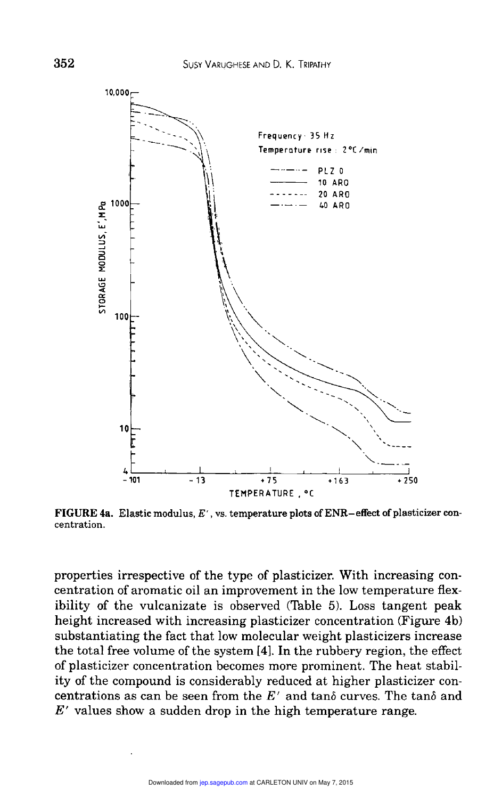

FIGURE 4a. Elastic modulus,  $E'$ , vs. temperature plots of ENR-effect of plasticizer concentration.

properties irrespective of the type of plasticizer. With increasing concentration of aromatic oil an improvement in the low temperature flexibility of the vulcanizate is observed (Table 5). Loss tangent peak height increased with increasing plasticizer concentration (Figure 4b) substantiating the fact that low molecular weight plasticizers increase the total free volume of the system [4]. In the rubbery region, the effect of plasticizer concentration becomes more prominent. The heat stability of the compound is considerably reduced at higher plasticizer concentrations as can be seen from the  $E'$  and tanô curves. The tanô and  $E'$  values show a sudden drop in the high temperature range.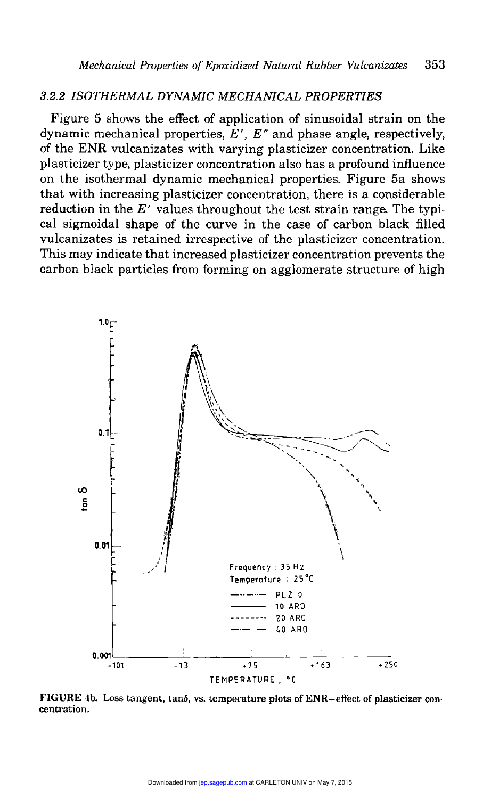#### 3.2.2 ISOTHERMAL DYNAMIC MECHANICAL PROPERTIES

Figure 5 shows the effect of application of sinusoidal strain on the dynamic mechanical properties,  $E'$ ,  $E''$  and phase angle, respectively, of the ENR vulcanizates with varying plasticizer concentration. Like plasticizer type, plasticizer concentration also has a profound influence on the isothermal dynamic mechanical properties. Figure 5a shows that with increasing plasticizer concentration, there is a considerable reduction in the  $E'$  values throughout the test strain range. The typical sigmoidal shape of the curve in the case of carbon black filled vulcanizates is retained irrespective of the plasticizer concentration. This may indicate that increased plasticizer concentration prevents the carbon black particles from forming on agglomerate structure of high



FIGURE 4b. Loss tangent, tanô, vs. temperature plots of ENR-effect of plasticizer concentration.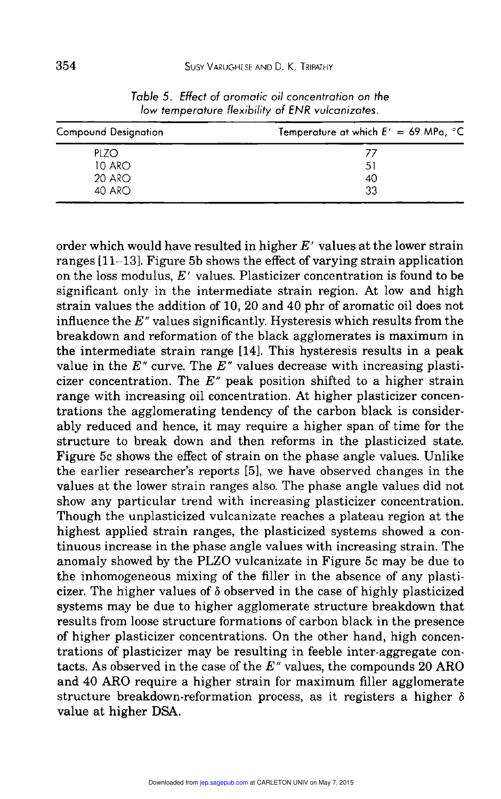| <b>Compound Designation</b> | Temperature at which $E' = 69$ MPa, $^{\circ}$ C |  |
|-----------------------------|--------------------------------------------------|--|
| PLZO                        | 77                                               |  |
| 10 ARO                      | 51                                               |  |
| 20 ARO                      | 40                                               |  |
| 40 ARO                      | 33                                               |  |

Table 5. Effect of aromatic oil concentration on the low temperature flexibility of ENR vulcanizates.

order which would have resulted in higher  $E'$  values at the lower strain ranges [11-13]. Figure 5b shows the effect of varying strain application on the loss modulus,  $E'$  values. Plasticizer concentration is found to be significant only in the intermediate strain region. At low and high strain values the addition of 10, 20 and 40 phr of aromatic oil does not influence the  $E''$  values significantly. Hysteresis which results from the breakdown and reformation of the black agglomerates is maximum in the intermediate strain range [14]. This hysteresis results in a peak value in the E<sup> $\pi$ </sup> curve. The E<sup> $\pi$ </sup> values decrease with increasing plasticizer concentration. The  $E''$  peak position shifted to a higher strain range with increasing oil concentration. At higher plasticizer concentrations the agglomerating tendency of the carbon black is considerably reduced and hence, it may require a higher span of time for the structure to break down and then reforms in the plasticized state. Figure 5c shows the effect of strain on the phase angle values. Unlike the earlier researcher's reports [5], we have observed changes in the values at the lower strain ranges also. The phase angle values did not show any particular trend with increasing plasticizer concentration. Though the unplasticized vulcanizate reaches a plateau region at the highest applied strain ranges, the plasticized systems showed a continuous increase in the phase angle values with increasing strain. The anomaly showed by the PLZO vulcanizate in Figure 5c may be due to the inhomogeneous mixing of the filler in the absence of any plasticizer. The higher values of  $\delta$  observed in the case of highly plasticized systems may be due to higher agglomerate structure breakdown that results from loose structure formations of carbon black in the presence of higher plasticizer concentrations. On the other hand, high concentrations of plasticizer may be resulting in feeble inter-aggregate contacts. As observed in the case of the  $E^{\prime\prime}$  values, the compounds 20 ARO and 40 ARO require a higher strain for maximum filler agglomerate structure breakdown-reformation process, as it registers a higher  $\delta$ value at higher DSA.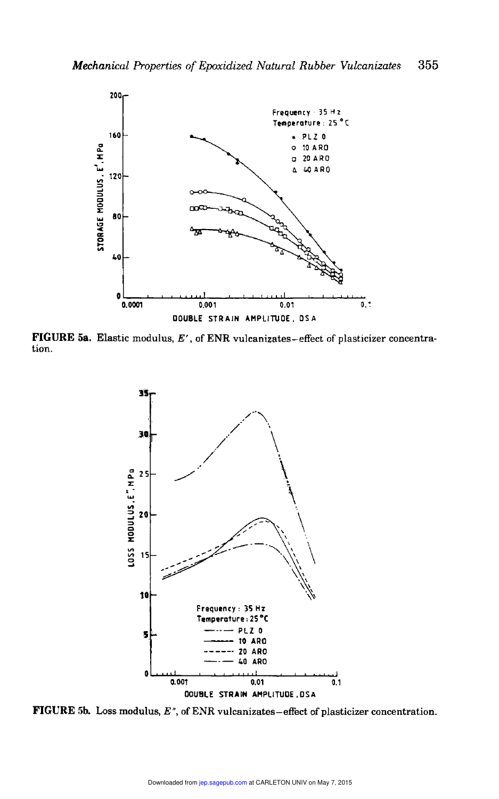

FIGURE 5a. Elastic modulus,  $E'$ , of ENR vulcanizates-effect of plasticizer concentration.



**FIGURE 5b.** Loss modulus,  $E^{\prime\prime}$ , of ENR vulcanizates-effect of plasticizer concentration.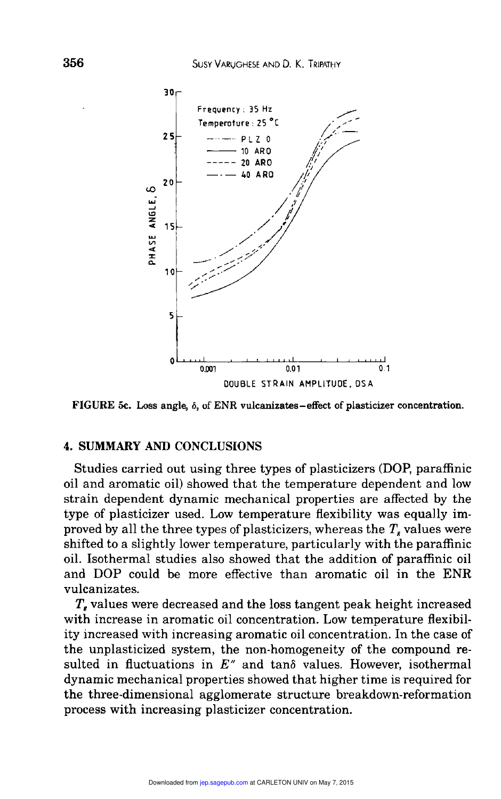

FIGURE 5c. Loss angle,  $\delta$ , of ENR vulcanizates - effect of plasticizer concentration.

#### 4. SUMMARY AND CONCLUSIONS

Studies carried out using three types of plasticizers (DOP, paraffinic oil and aromatic oil) showed that the temperature dependent and low strain dependent dynamic mechanical properties are affected by the type of plasticizer used. Low temperature flexibility was equally improved by all the three types of plasticizers, whereas the  $T<sub>s</sub>$  values were shifted to a slightly lower temperature, particularly with the paraffinic oil. Isothermal studies also showed that the addition of paraffinic oil and DOP could be more effective than aromatic oil in the ENR vulcanizates.

T, values were decreased and the loss tangent peak height increased with increase in aromatic oil concentration. Low temperature flexibility increased with increasing aromatic oil concentration. In the case of the unplasticized system, the non-homogeneity of the compound resulted in fluctuations in  $E^{\prime\prime}$  and tanô values. However, isothermal dynamic mechanical properties showed that higher time is required for the three-dimensional agglomerate structure breakdown-reformation process with increasing plasticizer concentration.